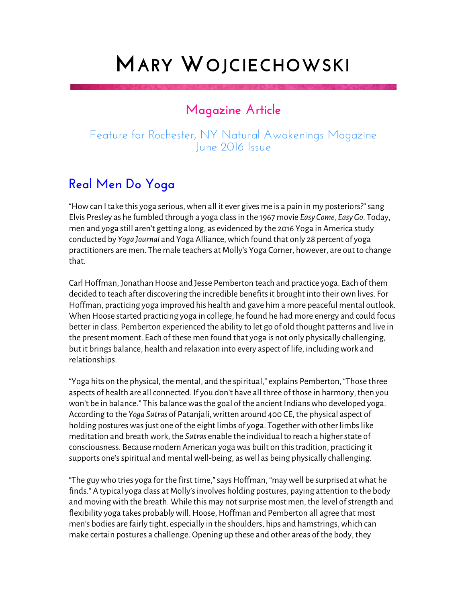## **MARY WOJCIECHOWSKI**

## **Magazine Article**

## Feature for Rochester, NY Natural Awakenings Magazine June 2016 Issue

## **Real Men Do Yoga**

"How can I take this yoga serious, when all it ever gives me is a pain in my posteriors?" sang Elvis Presley as he fumbled through a yoga class in the 1967 movie *Easy Come, Easy Go*. Today, men and yoga still aren't getting along, as evidenced by the 2016 Yoga in America study conducted by *Yoga Journal* and Yoga Alliance, which found that only 28 percent of yoga practitioners are men. The male teachers at Molly's Yoga Corner, however, are out to change that.

Carl Hoffman, Jonathan Hoose and Jesse Pemberton teach and practice yoga. Each of them decided to teach after discovering the incredible benefits it brought into their own lives. For Hoffman, practicing yoga improved his health and gave him a more peaceful mental outlook. When Hoose started practicing yoga in college, he found he had more energy and could focus better in class. Pemberton experienced the ability to let go of old thought patterns and live in the present moment. Each of these men found that yoga is not only physically challenging, but it brings balance, health and relaxation into every aspect of life, including work and relationships.

"Yoga hits on the physical, the mental, and the spiritual," explains Pemberton, "Those three aspects of health are all connected. If you don't have all three of those in harmony, then you won't be in balance." This balance was the goal of the ancient Indians who developed yoga. According to the *Yoga Sutras* of Patanjali, written around 400 CE, the physical aspect of holding postures was just one of the eight limbs of yoga. Together with other limbs like meditation and breath work, the *Sutras* enable the individual to reach a higher state of consciousness. Because modern American yoga was built on this tradition, practicing it supports one's spiritual and mental well-being, as well as being physically challenging.

"The guy who tries yoga for the first time," says Hoffman, "may well be surprised at what he finds." A typical yoga class at Molly's involves holding postures, paying attention to the body and moving with the breath. While this may not surprise most men, the level of strength and flexibility yoga takes probably will. Hoose, Hoffman and Pemberton all agree that most men's bodies are fairly tight, especially in the shoulders, hips and hamstrings, which can make certain postures a challenge. Opening up these and other areas of the body, they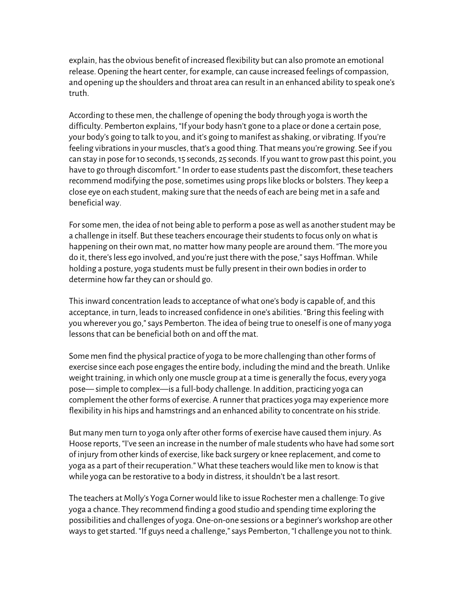explain, has the obvious benefit of increased flexibility but can also promote an emotional release. Opening the heart center, for example, can cause increased feelings of compassion, and opening up the shoulders and throat area can result in an enhanced ability to speak one's truth.

According to these men, the challenge of opening the body through yoga is worth the difficulty. Pemberton explains, "If your body hasn't gone to a place or done a certain pose, your body's going to talk to you, and it's going to manifest as shaking, or vibrating. If you're feeling vibrations in your muscles, that's a good thing. That means you're growing. See if you can stay in pose for 10 seconds, 15 seconds, 25 seconds. If you want to grow past this point, you have to go through discomfort." In order to ease students past the discomfort, these teachers recommend modifying the pose, sometimes using props like blocks or bolsters. They keep a close eye on each student, making sure that the needs of each are being met in a safe and beneficial way.

For some men, the idea of not being able to perform a pose as well as another student may be a challenge in itself. But these teachers encourage their students to focus only on what is happening on their own mat, no matter how many people are around them. "The more you do it, there's less ego involved, and you're just there with the pose," says Hoffman. While holding a posture, yoga students must be fully present in their own bodies in order to determine how far they can or should go.

This inward concentration leads to acceptance of what one's body is capable of, and this acceptance, in turn, leads to increased confidence in one's abilities. "Bring this feeling with you wherever you go," says Pemberton. The idea of being true to oneself is one of many yoga lessons that can be beneficial both on and off the mat.

Some men find the physical practice of yoga to be more challenging than other forms of exercise since each pose engages the entire body, including the mind and the breath. Unlike weight training, in which only one muscle group at a time is generally the focus, every yoga pose— simple to complex—is a full-body challenge. In addition, practicing yoga can complement the other forms of exercise. A runner that practices yoga may experience more flexibility in his hips and hamstrings and an enhanced ability to concentrate on his stride.

But many men turn to yoga only after other forms of exercise have caused them injury. As Hoose reports, "I've seen an increase in the number of male students who have had some sort of injury from other kinds of exercise, like back surgery or knee replacement, and come to yoga as a part of their recuperation." What these teachers would like men to know is that while yoga can be restorative to a body in distress, it shouldn't be a last resort.

The teachers at Molly's Yoga Corner would like to issue Rochester men a challenge: To give yoga a chance. They recommend finding a good studio and spending time exploring the possibilities and challenges of yoga. One-on-one sessions or a beginner's workshop are other ways to get started. "If guys need a challenge," says Pemberton, "I challenge you not to think.